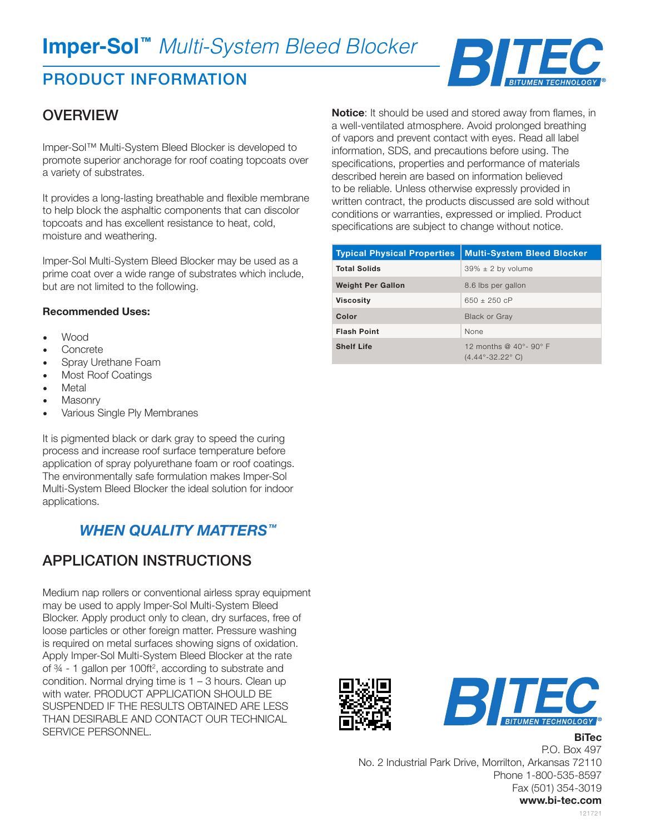# **Imper-Sol™** *Multi-System Bleed Blocker*

# PRODUCT INFORMATION

## **OVERVIEW**

Imper-Sol™ Multi-System Bleed Blocker is developed to promote superior anchorage for roof coating topcoats over a variety of substrates.

It provides a long-lasting breathable and flexible membrane to help block the asphaltic components that can discolor topcoats and has excellent resistance to heat, cold, moisture and weathering.

Imper-Sol Multi-System Bleed Blocker may be used as a prime coat over a wide range of substrates which include, but are not limited to the following.

#### **Recommended Uses:**

- Wood
- **Concrete**
- Spray Urethane Foam
- Most Roof Coatings
- **Metal**
- **Masonry**
- Various Single Ply Membranes

It is pigmented black or dark gray to speed the curing process and increase roof surface temperature before application of spray polyurethane foam or roof coatings. The environmentally safe formulation makes Imper-Sol Multi-System Bleed Blocker the ideal solution for indoor applications.

### *WHEN QUALITY MATTERS™*

### APPLICATION INSTRUCTIONS

Medium nap rollers or conventional airless spray equipment may be used to apply Imper-Sol Multi-System Bleed Blocker. Apply product only to clean, dry surfaces, free of loose particles or other foreign matter. Pressure washing is required on metal surfaces showing signs of oxidation. Apply Imper-Sol Multi-System Bleed Blocker at the rate of ¾ - 1 gallon per 100ft2 , according to substrate and condition. Normal drying time is  $1 - 3$  hours. Clean up with water. PRODUCT APPLICATION SHOULD BE SUSPENDED IF THE RESULTS OBTAINED ARE LESS THAN DESIRABLE AND CONTACT OUR TECHNICAL SERVICE PERSONNEL.

**Notice**: It should be used and stored away from flames, in a well-ventilated atmosphere. Avoid prolonged breathing of vapors and prevent contact with eyes. Read all label information, SDS, and precautions before using. The specifications, properties and performance of materials described herein are based on information believed to be reliable. Unless otherwise expressly provided in written contract, the products discussed are sold without conditions or warranties, expressed or implied. Product specifications are subject to change without notice.

| <b>Typical Physical Properties</b> | <b>Multi-System Bleed Blocker</b>                                                        |
|------------------------------------|------------------------------------------------------------------------------------------|
| <b>Total Solids</b>                | $39\% \pm 2$ by volume                                                                   |
| <b>Weight Per Gallon</b>           | 8.6 lbs per gallon                                                                       |
| <b>Viscosity</b>                   | 650 $\pm$ 250 cP                                                                         |
| Color                              | <b>Black or Gray</b>                                                                     |
| <b>Flash Point</b>                 | None                                                                                     |
| <b>Shelf Life</b>                  | 12 months @ $40^{\circ}$ - 90 $^{\circ}$ F<br>$(4.44^{\circ} - 32.22^{\circ} \text{ C})$ |





**BiTec**

P.O. Box 497 No. 2 Industrial Park Drive, Morrilton, Arkansas 72110 Phone 1-800-535-8597 Fax (501) 354-3019 **www.bi-tec.com**

121721